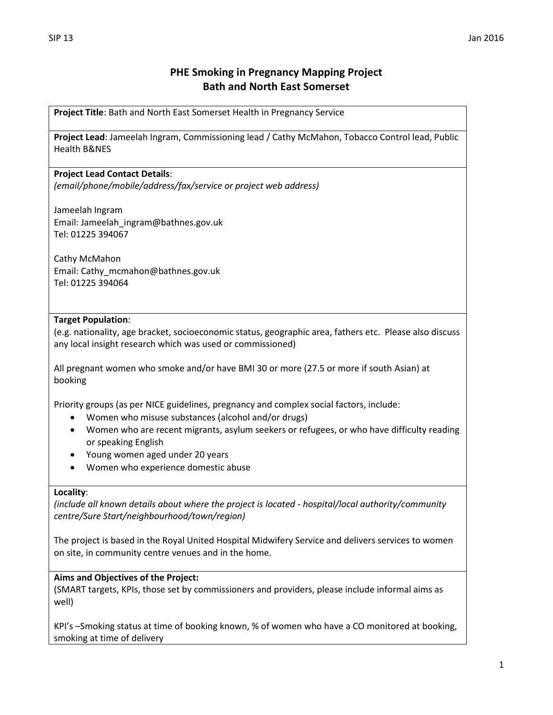# **PHE Smoking in Pregnancy Mapping Project Bath and North East Somerset**

**Project Title**: Bath and North East Somerset Health in Pregnancy Service

**Project Lead**: Jameelah Ingram, Commissioning lead / Cathy McMahon, Tobacco Control lead, Public Health B&NES

# **Project Lead Contact Details**:

*(email/phone/mobile/address/fax/service or project web address)*

Jameelah Ingram Email: Jameelah\_ingram@bathnes.gov.uk Tel: 01225 394067

Cathy McMahon Email: Cathy\_mcmahon@bathnes.gov.uk Tel: 01225 394064

# **Target Population**:

(e.g. nationality, age bracket, socioeconomic status, geographic area, fathers etc. Please also discuss any local insight research which was used or commissioned)

All pregnant women who smoke and/or have BMI 30 or more (27.5 or more if south Asian) at booking

Priority groups (as per NICE guidelines, pregnancy and complex social factors, include:

- Women who misuse substances (alcohol and/or drugs)
- Women who are recent migrants, asylum seekers or refugees, or who have difficulty reading or speaking English
- Young women aged under 20 years
- Women who experience domestic abuse

#### **Locality**:

*(include all known details about where the project is located - hospital/local authority/community centre/Sure Start/neighbourhood/town/region)*

The project is based in the Royal United Hospital Midwifery Service and delivers services to women on site, in community centre venues and in the home.

### **Aims and Objectives of the Project:**

(SMART targets, KPIs, those set by commissioners and providers, please include informal aims as well)

KPI's –Smoking status at time of booking known, % of women who have a CO monitored at booking, smoking at time of delivery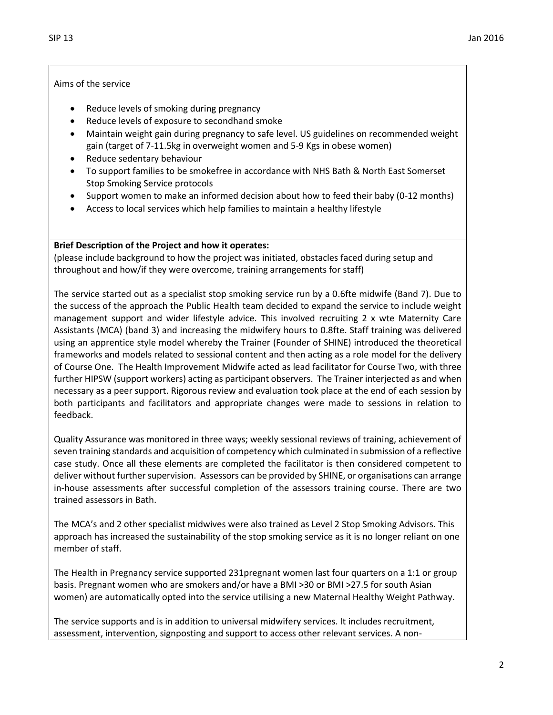### Aims of the service

- Reduce levels of smoking during pregnancy
- Reduce levels of exposure to secondhand smoke
- Maintain weight gain during pregnancy to safe level. US guidelines on recommended weight gain (target of 7-11.5kg in overweight women and 5-9 Kgs in obese women)
- Reduce sedentary behaviour
- To support families to be smokefree in accordance with NHS Bath & North East Somerset Stop Smoking Service protocols
- Support women to make an informed decision about how to feed their baby (0-12 months)
- Access to local services which help families to maintain a healthy lifestyle

### **Brief Description of the Project and how it operates:**

(please include background to how the project was initiated, obstacles faced during setup and throughout and how/if they were overcome, training arrangements for staff)

The service started out as a specialist stop smoking service run by a 0.6fte midwife (Band 7). Due to the success of the approach the Public Health team decided to expand the service to include weight management support and wider lifestyle advice. This involved recruiting 2 x wte Maternity Care Assistants (MCA) (band 3) and increasing the midwifery hours to 0.8fte. Staff training was delivered using an apprentice style model whereby the Trainer (Founder of SHINE) introduced the theoretical frameworks and models related to sessional content and then acting as a role model for the delivery of Course One. The Health Improvement Midwife acted as lead facilitator for Course Two, with three further HIPSW (support workers) acting as participant observers. The Trainer interjected as and when necessary as a peer support. Rigorous review and evaluation took place at the end of each session by both participants and facilitators and appropriate changes were made to sessions in relation to feedback.

Quality Assurance was monitored in three ways; weekly sessional reviews of training, achievement of seven training standards and acquisition of competency which culminated in submission of a reflective case study. Once all these elements are completed the facilitator is then considered competent to deliver without further supervision. Assessors can be provided by SHINE, or organisations can arrange in-house assessments after successful completion of the assessors training course. There are two trained assessors in Bath.

The MCA's and 2 other specialist midwives were also trained as Level 2 Stop Smoking Advisors. This approach has increased the sustainability of the stop smoking service as it is no longer reliant on one member of staff.

The Health in Pregnancy service supported 231pregnant women last four quarters on a 1:1 or group basis. Pregnant women who are smokers and/or have a BMI >30 or BMI >27.5 for south Asian women) are automatically opted into the service utilising a new Maternal Healthy Weight Pathway.

The service supports and is in addition to universal midwifery services. It includes recruitment, assessment, intervention, signposting and support to access other relevant services. A non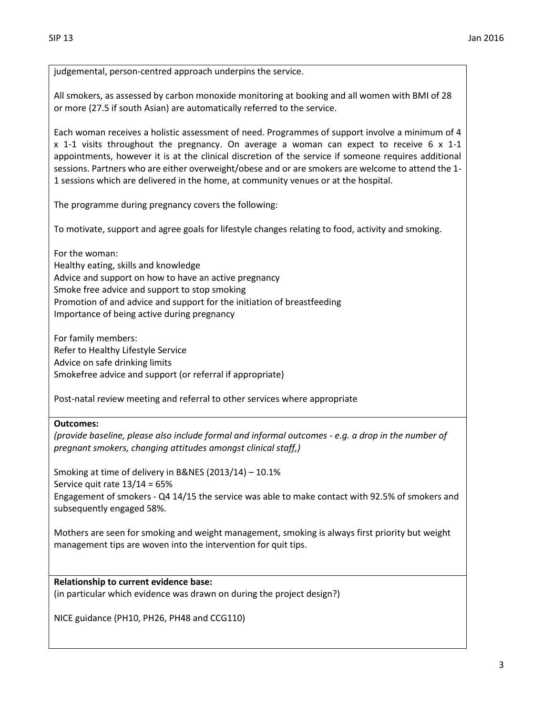judgemental, person-centred approach underpins the service.

All smokers, as assessed by carbon monoxide monitoring at booking and all women with BMI of 28 or more (27.5 if south Asian) are automatically referred to the service.

Each woman receives a holistic assessment of need. Programmes of support involve a minimum of 4 x 1-1 visits throughout the pregnancy. On average a woman can expect to receive 6 x 1-1 appointments, however it is at the clinical discretion of the service if someone requires additional sessions. Partners who are either overweight/obese and or are smokers are welcome to attend the 1- 1 sessions which are delivered in the home, at community venues or at the hospital.

The programme during pregnancy covers the following:

To motivate, support and agree goals for lifestyle changes relating to food, activity and smoking.

For the woman: Healthy eating, skills and knowledge Advice and support on how to have an active pregnancy Smoke free advice and support to stop smoking Promotion of and advice and support for the initiation of breastfeeding Importance of being active during pregnancy

For family members: Refer to Healthy Lifestyle Service Advice on safe drinking limits Smokefree advice and support (or referral if appropriate)

Post-natal review meeting and referral to other services where appropriate

#### **Outcomes:**

*(provide baseline, please also include formal and informal outcomes - e.g. a drop in the number of pregnant smokers, changing attitudes amongst clinical staff,)*

Smoking at time of delivery in B&NES (2013/14) – 10.1% Service quit rate 13/14 = 65% Engagement of smokers - Q4 14/15 the service was able to make contact with 92.5% of smokers and subsequently engaged 58%.

Mothers are seen for smoking and weight management, smoking is always first priority but weight management tips are woven into the intervention for quit tips.

### **Relationship to current evidence base:**

(in particular which evidence was drawn on during the project design?)

NICE guidance (PH10, PH26, PH48 and CCG110)